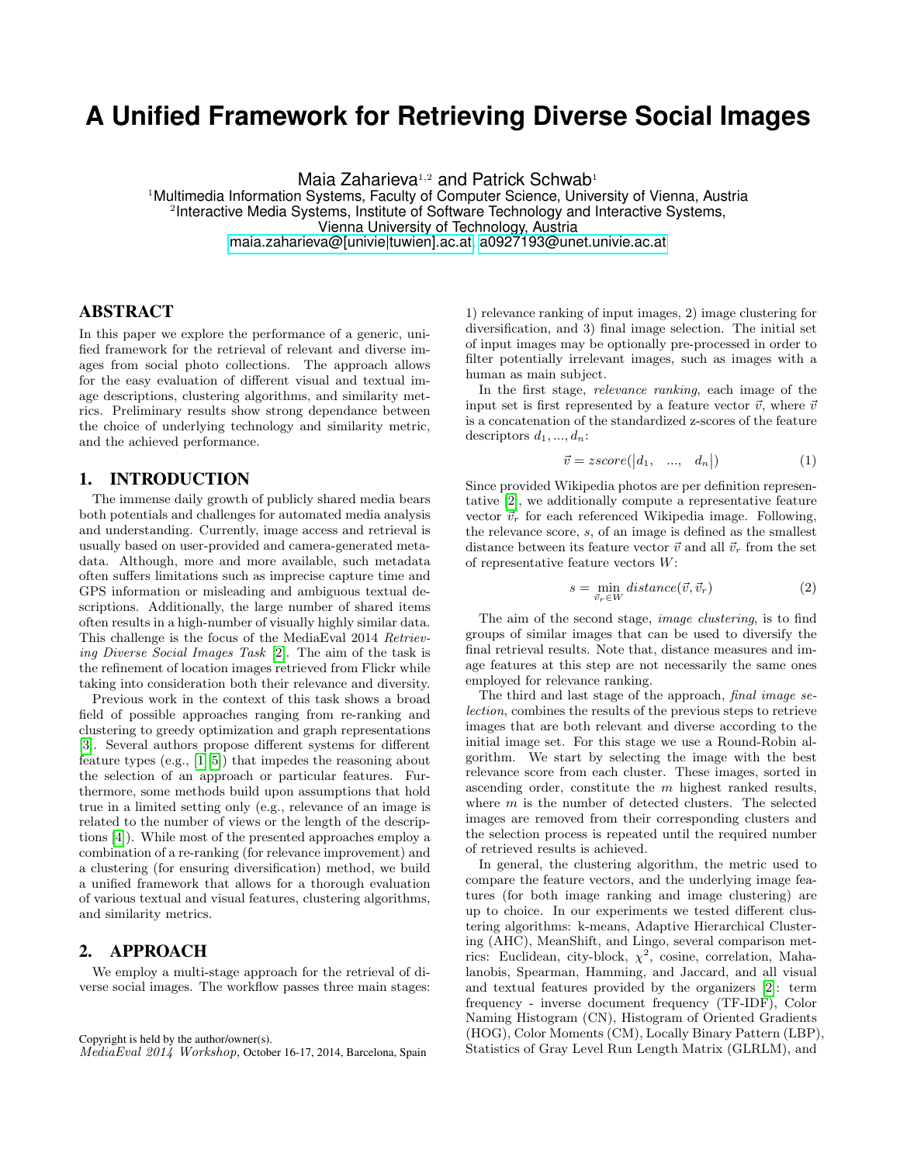# **A Unified Framework for Retrieving Diverse Social Images**

Maia Zaharieva<sup>1,2</sup> and Patrick Schwab<sup>1</sup>

<sup>1</sup>Multimedia Information Systems, Faculty of Computer Science, University of Vienna, Austria <sup>2</sup>Interactive Media Systems, Institute of Software Technology and Interactive Systems, Vienna University of Technology, Austria [maia.zaharieva@\[univie|tuwien\].ac.at,](mailto:maia.zaharieva@tuwien.ac.at) [a0927193@unet.univie.ac.at](mailto:a0927193@unet.univie.ac.at)

## ABSTRACT

In this paper we explore the performance of a generic, unified framework for the retrieval of relevant and diverse images from social photo collections. The approach allows for the easy evaluation of different visual and textual image descriptions, clustering algorithms, and similarity metrics. Preliminary results show strong dependance between the choice of underlying technology and similarity metric, and the achieved performance.

## 1. INTRODUCTION

The immense daily growth of publicly shared media bears both potentials and challenges for automated media analysis and understanding. Currently, image access and retrieval is usually based on user-provided and camera-generated metadata. Although, more and more available, such metadata often suffers limitations such as imprecise capture time and GPS information or misleading and ambiguous textual descriptions. Additionally, the large number of shared items often results in a high-number of visually highly similar data. This challenge is the focus of the MediaEval 2014 Retrieving Diverse Social Images Task [\[2\]](#page-1-0). The aim of the task is the refinement of location images retrieved from Flickr while taking into consideration both their relevance and diversity.

Previous work in the context of this task shows a broad field of possible approaches ranging from re-ranking and clustering to greedy optimization and graph representations [\[3\]](#page-1-1). Several authors propose different systems for different feature types (e.g., [\[1\]](#page-1-2)[\[5\]](#page-1-3)) that impedes the reasoning about the selection of an approach or particular features. Furthermore, some methods build upon assumptions that hold true in a limited setting only (e.g., relevance of an image is related to the number of views or the length of the descriptions [\[4\]](#page-1-4)). While most of the presented approaches employ a combination of a re-ranking (for relevance improvement) and a clustering (for ensuring diversification) method, we build a unified framework that allows for a thorough evaluation of various textual and visual features, clustering algorithms, and similarity metrics.

### 2. APPROACH

We employ a multi-stage approach for the retrieval of diverse social images. The workflow passes three main stages:

1) relevance ranking of input images, 2) image clustering for diversification, and 3) final image selection. The initial set of input images may be optionally pre-processed in order to filter potentially irrelevant images, such as images with a human as main subject.

In the first stage, relevance ranking, each image of the input set is first represented by a feature vector  $\vec{v}$ , where  $\vec{v}$ is a concatenation of the standardized z-scores of the feature descriptors  $d_1, ..., d_n$ :

$$
\vec{v} = zscore(|d_1, \dots, d_n|) \tag{1}
$$

Since provided Wikipedia photos are per definition representative [\[2\]](#page-1-0), we additionally compute a representative feature vector  $\vec{v}_r$  for each referenced Wikipedia image. Following, the relevance score, s, of an image is defined as the smallest distance between its feature vector  $\vec{v}$  and all  $\vec{v}_r$  from the set of representative feature vectors W:

$$
s = \min_{\vec{v}_r \in W} distance(\vec{v}, \vec{v}_r)
$$
 (2)

The aim of the second stage, image clustering, is to find groups of similar images that can be used to diversify the final retrieval results. Note that, distance measures and image features at this step are not necessarily the same ones employed for relevance ranking.

The third and last stage of the approach, final image selection, combines the results of the previous steps to retrieve images that are both relevant and diverse according to the initial image set. For this stage we use a Round-Robin algorithm. We start by selecting the image with the best relevance score from each cluster. These images, sorted in ascending order, constitute the m highest ranked results, where  $m$  is the number of detected clusters. The selected images are removed from their corresponding clusters and the selection process is repeated until the required number of retrieved results is achieved.

In general, the clustering algorithm, the metric used to compare the feature vectors, and the underlying image features (for both image ranking and image clustering) are up to choice. In our experiments we tested different clustering algorithms: k-means, Adaptive Hierarchical Clustering (AHC), MeanShift, and Lingo, several comparison metrics: Euclidean, city-block,  $\chi^2$ , cosine, correlation, Mahalanobis, Spearman, Hamming, and Jaccard, and all visual and textual features provided by the organizers [\[2\]](#page-1-0): term frequency - inverse document frequency (TF-IDF), Color Naming Histogram (CN), Histogram of Oriented Gradients (HOG), Color Moments (CM), Locally Binary Pattern (LBP), Statistics of Gray Level Run Length Matrix (GLRLM), and

Copyright is held by the author/owner(s).

MediaEval 2014 Workshop, October 16-17, 2014, Barcelona, Spain